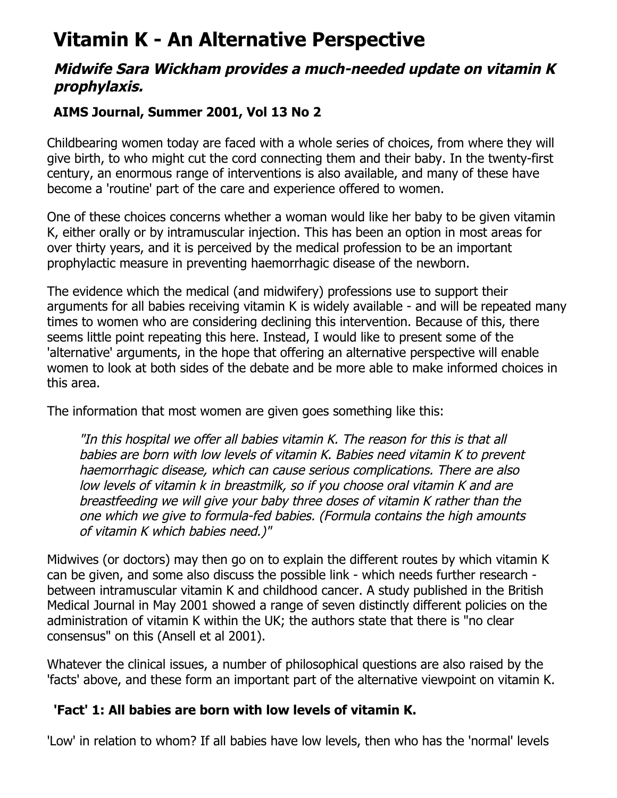# **Vitamin K - An Alternative Perspective**

# **Midwife Sara Wickham provides a much-needed update on vitamin K prophylaxis.**

# **AIMS Journal, Summer 2001, Vol 13 No 2**

Childbearing women today are faced with a whole series of choices, from where they will give birth, to who might cut the cord connecting them and their baby. In the twenty-first century, an enormous range of interventions is also available, and many of these have become a 'routine' part of the care and experience offered to women.

One of these choices concerns whether a woman would like her baby to be given vitamin K, either orally or by intramuscular injection. This has been an option in most areas for over thirty years, and it is perceived by the medical profession to be an important prophylactic measure in preventing haemorrhagic disease of the newborn.

The evidence which the medical (and midwifery) professions use to support their arguments for all babies receiving vitamin K is widely available - and will be repeated many times to women who are considering declining this intervention. Because of this, there seems little point repeating this here. Instead, I would like to present some of the 'alternative' arguments, in the hope that offering an alternative perspective will enable women to look at both sides of the debate and be more able to make informed choices in this area.

The information that most women are given goes something like this:

"In this hospital we offer all babies vitamin K. The reason for this is that all babies are born with low levels of vitamin K. Babies need vitamin K to prevent haemorrhagic disease, which can cause serious complications. There are also low levels of vitamin k in breastmilk, so if you choose oral vitamin K and are breastfeeding we will give your baby three doses of vitamin K rather than the one which we give to formula-fed babies. (Formula contains the high amounts of vitamin K which babies need.)"

Midwives (or doctors) may then go on to explain the different routes by which vitamin K can be given, and some also discuss the possible link - which needs further research between intramuscular vitamin K and childhood cancer. A study published in the British Medical Journal in May 2001 showed a range of seven distinctly different policies on the administration of vitamin K within the UK; the authors state that there is "no clear consensus" on this (Ansell et al 2001).

Whatever the clinical issues, a number of philosophical questions are also raised by the 'facts' above, and these form an important part of the alternative viewpoint on vitamin K.

## **'Fact' 1: All babies are born with low levels of vitamin K.**

'Low' in relation to whom? If all babies have low levels, then who has the 'normal' levels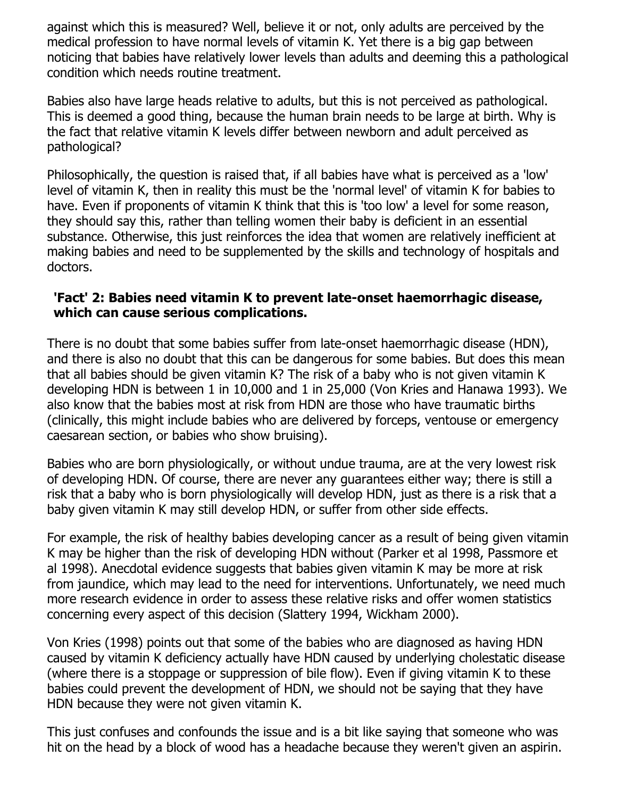against which this is measured? Well, believe it or not, only adults are perceived by the medical profession to have normal levels of vitamin K. Yet there is a big gap between noticing that babies have relatively lower levels than adults and deeming this a pathological condition which needs routine treatment.

Babies also have large heads relative to adults, but this is not perceived as pathological. This is deemed a good thing, because the human brain needs to be large at birth. Why is the fact that relative vitamin K levels differ between newborn and adult perceived as pathological?

Philosophically, the question is raised that, if all babies have what is perceived as a 'low' level of vitamin K, then in reality this must be the 'normal level' of vitamin K for babies to have. Even if proponents of vitamin K think that this is 'too low' a level for some reason, they should say this, rather than telling women their baby is deficient in an essential substance. Otherwise, this just reinforces the idea that women are relatively inefficient at making babies and need to be supplemented by the skills and technology of hospitals and doctors.

#### **'Fact' 2: Babies need vitamin K to prevent late-onset haemorrhagic disease, which can cause serious complications.**

There is no doubt that some babies suffer from late-onset haemorrhagic disease (HDN), and there is also no doubt that this can be dangerous for some babies. But does this mean that all babies should be given vitamin K? The risk of a baby who is not given vitamin K developing HDN is between 1 in 10,000 and 1 in 25,000 (Von Kries and Hanawa 1993). We also know that the babies most at risk from HDN are those who have traumatic births (clinically, this might include babies who are delivered by forceps, ventouse or emergency caesarean section, or babies who show bruising).

Babies who are born physiologically, or without undue trauma, are at the very lowest risk of developing HDN. Of course, there are never any guarantees either way; there is still a risk that a baby who is born physiologically will develop HDN, just as there is a risk that a baby given vitamin K may still develop HDN, or suffer from other side effects.

For example, the risk of healthy babies developing cancer as a result of being given vitamin K may be higher than the risk of developing HDN without (Parker et al 1998, Passmore et al 1998). Anecdotal evidence suggests that babies given vitamin K may be more at risk from jaundice, which may lead to the need for interventions. Unfortunately, we need much more research evidence in order to assess these relative risks and offer women statistics concerning every aspect of this decision (Slattery 1994, Wickham 2000).

Von Kries (1998) points out that some of the babies who are diagnosed as having HDN caused by vitamin K deficiency actually have HDN caused by underlying cholestatic disease (where there is a stoppage or suppression of bile flow). Even if giving vitamin K to these babies could prevent the development of HDN, we should not be saying that they have HDN because they were not given vitamin K.

This just confuses and confounds the issue and is a bit like saying that someone who was hit on the head by a block of wood has a headache because they weren't given an aspirin.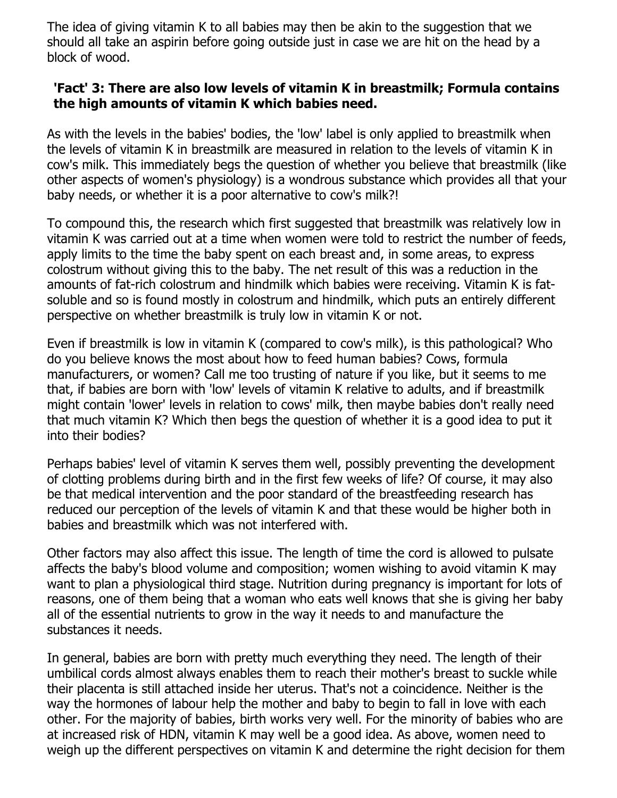The idea of giving vitamin K to all babies may then be akin to the suggestion that we should all take an aspirin before going outside just in case we are hit on the head by a block of wood.

#### **'Fact' 3: There are also low levels of vitamin K in breastmilk; Formula contains the high amounts of vitamin K which babies need.**

As with the levels in the babies' bodies, the 'low' label is only applied to breastmilk when the levels of vitamin K in breastmilk are measured in relation to the levels of vitamin K in cow's milk. This immediately begs the question of whether you believe that breastmilk (like other aspects of women's physiology) is a wondrous substance which provides all that your baby needs, or whether it is a poor alternative to cow's milk?!

To compound this, the research which first suggested that breastmilk was relatively low in vitamin K was carried out at a time when women were told to restrict the number of feeds, apply limits to the time the baby spent on each breast and, in some areas, to express colostrum without giving this to the baby. The net result of this was a reduction in the amounts of fat-rich colostrum and hindmilk which babies were receiving. Vitamin K is fatsoluble and so is found mostly in colostrum and hindmilk, which puts an entirely different perspective on whether breastmilk is truly low in vitamin K or not.

Even if breastmilk is low in vitamin K (compared to cow's milk), is this pathological? Who do you believe knows the most about how to feed human babies? Cows, formula manufacturers, or women? Call me too trusting of nature if you like, but it seems to me that, if babies are born with 'low' levels of vitamin K relative to adults, and if breastmilk might contain 'lower' levels in relation to cows' milk, then maybe babies don't really need that much vitamin K? Which then begs the question of whether it is a good idea to put it into their bodies?

Perhaps babies' level of vitamin K serves them well, possibly preventing the development of clotting problems during birth and in the first few weeks of life? Of course, it may also be that medical intervention and the poor standard of the breastfeeding research has reduced our perception of the levels of vitamin K and that these would be higher both in babies and breastmilk which was not interfered with.

Other factors may also affect this issue. The length of time the cord is allowed to pulsate affects the baby's blood volume and composition; women wishing to avoid vitamin K may want to plan a physiological third stage. Nutrition during pregnancy is important for lots of reasons, one of them being that a woman who eats well knows that she is giving her baby all of the essential nutrients to grow in the way it needs to and manufacture the substances it needs.

In general, babies are born with pretty much everything they need. The length of their umbilical cords almost always enables them to reach their mother's breast to suckle while their placenta is still attached inside her uterus. That's not a coincidence. Neither is the way the hormones of labour help the mother and baby to begin to fall in love with each other. For the majority of babies, birth works very well. For the minority of babies who are at increased risk of HDN, vitamin K may well be a good idea. As above, women need to weigh up the different perspectives on vitamin K and determine the right decision for them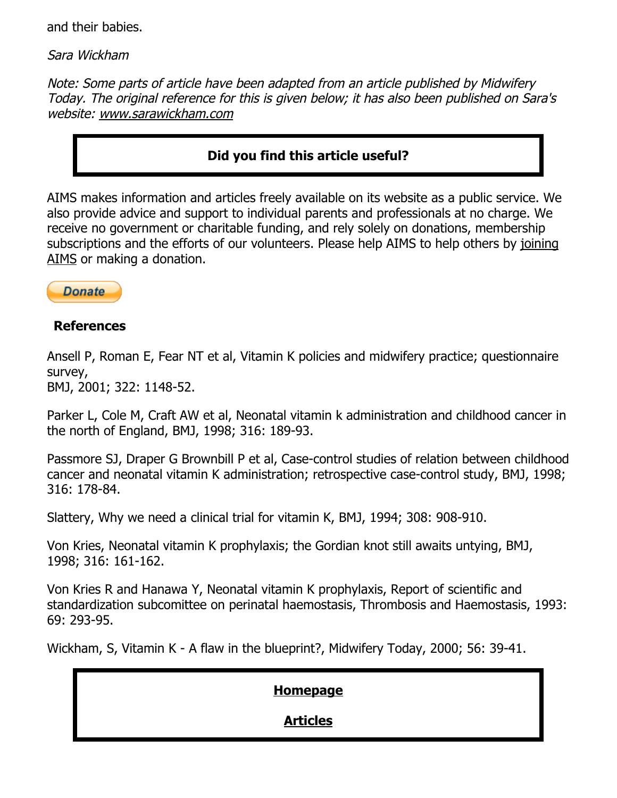and their babies.

Sara Wickham

Note: Some parts of article have been adapted from an article published by Midwifery Today. The original reference for this is given below; it has also been published on Sara's website: [www.sarawickham.com](http://sarawickham.com/wp-content/uploads/2011/10/a1-vitamin-k-a-flaw-in-the-blueprint2.pdf)

## **Did you find this article useful?**

AIMS makes information and articles freely available on its website as a public service. We also provide advice and support to individual parents and professionals at no charge. We receive no government or charitable funding, and rely solely on donations, membership [subscriptions and the efforts of our volunteers. Please help AIMS to help others by joining](http://www.aims.org.uk/join.htm) AIMS or making a donation.



### **References**

Ansell P, Roman E, Fear NT et al, Vitamin K policies and midwifery practice; questionnaire survey,

BMJ, 2001; 322: 1148-52.

Parker L, Cole M, Craft AW et al, Neonatal vitamin k administration and childhood cancer in the north of England, BMJ, 1998; 316: 189-93.

Passmore SJ, Draper G Brownbill P et al, Case-control studies of relation between childhood cancer and neonatal vitamin K administration; retrospective case-control study, BMJ, 1998; 316: 178-84.

Slattery, Why we need a clinical trial for vitamin K, BMJ, 1994; 308: 908-910.

Von Kries, Neonatal vitamin K prophylaxis; the Gordian knot still awaits untying, BMJ, 1998; 316: 161-162.

Von Kries R and Hanawa Y, Neonatal vitamin K prophylaxis, Report of scientific and standardization subcomittee on perinatal haemostasis, Thrombosis and Haemostasis, 1993: 69: 293-95.

Wickham, S, Vitamin K - A flaw in the blueprint?, Midwifery Today, 2000; 56: 39-41.

#### **[Homepage](http://www.aims.org.uk/)**

## **[Articles](http://www.aims.org.uk/articles.html)**